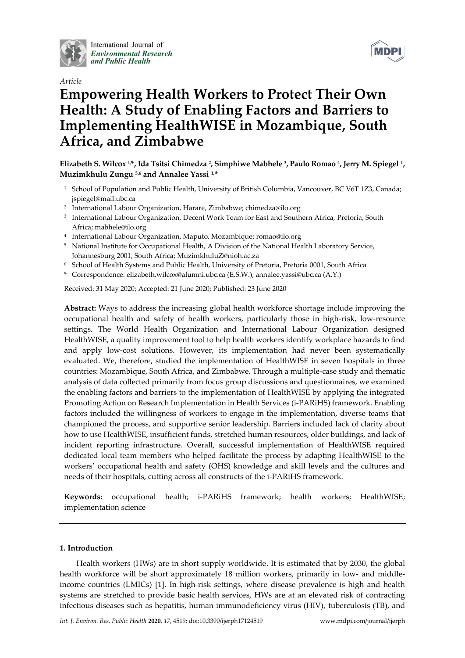

International Journal of **Environmental Research** and Public Health





# **Empowering Health Workers to Protect Their Own Health: A Study of Enabling Factors and Barriers to Implementing HealthWISE in Mozambique, South Africa, and Zimbabwe**

**Elizabeth S. Wilcox 1,\*, Ida Tsitsi Chimedza <sup>2</sup> , Simphiwe Mabhele <sup>3</sup> , Paulo Romao <sup>4</sup> , Jerry M. Spiegel <sup>1</sup> , Muzimkhulu Zungu 5,6 and Annalee Yassi 1,\***

- <sup>1</sup> School of Population and Public Health, University of British Columbia, Vancouver, BC V6T 1Z3, Canada; jspiegel@mail.ubc.ca
- 2 International Labour Organization, Harare, Zimbabwe; chimedza@ilo.org
- 3 International Labour Organization, Decent Work Team for East and Southern Africa, Pretoria, South Africa; mabhele@ilo.org
- 4 International Labour Organization, Maputo, Mozambique; romao@ilo.org
- <sup>5</sup> National Institute for Occupational Health, A Division of the National Health Laboratory Service, Johannesburg 2001, South Africa; MuzimkhuluZ@nioh.ac.za
- <sup>6</sup> School of Health Systems and Public Health, University of Pretoria, Pretoria 0001, South Africa
- **\*** Correspondence: elizabeth.wilcox@alumni.ubc.ca (E.S.W.); annalee.yassi@ubc.ca (A.Y.)

Received: 31 May 2020; Accepted: 21 June 2020; Published: 23 June 2020

**Abstract:** Ways to address the increasing global health workforce shortage include improving the occupational health and safety of health workers, particularly those in high-risk, low-resource settings. The World Health Organization and International Labour Organization designed HealthWISE, a quality improvement tool to help health workers identify workplace hazards to find and apply low-cost solutions. However, its implementation had never been systematically evaluated. We, therefore, studied the implementation of HealthWISE in seven hospitals in three countries: Mozambique, South Africa, and Zimbabwe. Through a multiple-case study and thematic analysis of data collected primarily from focus group discussions and questionnaires, we examined the enabling factors and barriers to the implementation of HealthWISE by applying the integrated Promoting Action on Research Implementation in Health Services (i-PARiHS) framework. Enabling factors included the willingness of workers to engage in the implementation, diverse teams that championed the process, and supportive senior leadership. Barriers included lack of clarity about how to use HealthWISE, insufficient funds, stretched human resources, older buildings, and lack of incident reporting infrastructure. Overall, successful implementation of HealthWISE required dedicated local team members who helped facilitate the process by adapting HealthWISE to the workers' occupational health and safety (OHS) knowledge and skill levels and the cultures and needs of their hospitals, cutting across all constructs of the i-PARiHS framework.

**Keywords:** occupational health; i-PARiHS framework; health workers; HealthWISE; implementation science

## **1. Introduction**

Health workers (HWs) are in short supply worldwide. It is estimated that by 2030, the global health workforce will be short approximately 18 million workers, primarily in low- and middleincome countries (LMICs) [1]. In high-risk settings, where disease prevalence is high and health systems are stretched to provide basic health services, HWs are at an elevated risk of contracting infectious diseases such as hepatitis, human immunodeficiency virus (HIV), tuberculosis (TB), and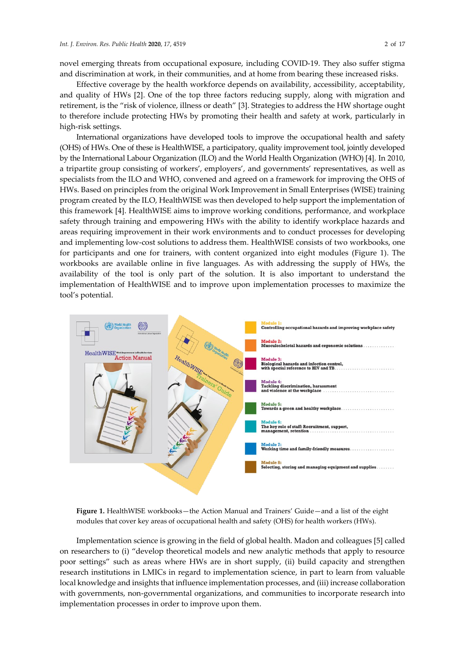novel emerging threats from occupational exposure, including COVID-19. They also suffer stigma and discrimination at work, in their communities, and at home from bearing these increased risks.

Effective coverage by the health workforce depends on availability, accessibility, acceptability, and quality of HWs [2]. One of the top three factors reducing supply, along with migration and retirement, is the "risk of violence, illness or death" [3]. Strategies to address the HW shortage ought to therefore include protecting HWs by promoting their health and safety at work, particularly in high-risk settings.

International organizations have developed tools to improve the occupational health and safety (OHS) of HWs. One of these is HealthWISE, a participatory, quality improvement tool, jointly developed by the International Labour Organization (ILO) and the World Health Organization (WHO) [4]. In 2010, a tripartite group consisting of workers', employers', and governments' representatives, as well as specialists from the ILO and WHO, convened and agreed on a framework for improving the OHS of HWs. Based on principles from the original Work Improvement in Small Enterprises (WISE) training program created by the ILO, HealthWISE was then developed to help support the implementation of this framework [4]. HealthWISE aims to improve working conditions, performance, and workplace safety through training and empowering HWs with the ability to identify workplace hazards and areas requiring improvement in their work environments and to conduct processes for developing and implementing low-cost solutions to address them. HealthWISE consists of two workbooks, one for participants and one for trainers, with content organized into eight modules (Figure 1). The workbooks are available online in five languages. As with addressing the supply of HWs, the availability of the tool is only part of the solution. It is also important to understand the implementation of HealthWISE and to improve upon implementation processes to maximize the tool's potential.



**Figure 1.** HealthWISE workbooks—the Action Manual and Trainers' Guide—and a list of the eight modules that cover key areas of occupational health and safety (OHS) for health workers (HWs).

Implementation science is growing in the field of global health. Madon and colleagues [5] called on researchers to (i) "develop theoretical models and new analytic methods that apply to resource poor settings" such as areas where HWs are in short supply, (ii) build capacity and strengthen research institutions in LMICs in regard to implementation science, in part to learn from valuable local knowledge and insights that influence implementation processes, and (iii) increase collaboration with governments, non-governmental organizations, and communities to incorporate research into implementation processes in order to improve upon them.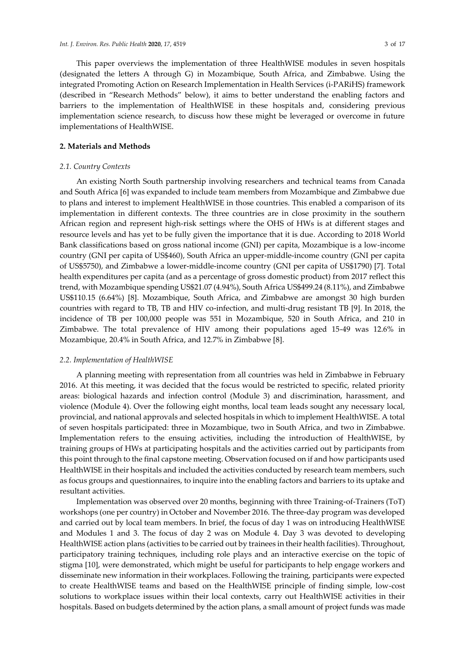This paper overviews the implementation of three HealthWISE modules in seven hospitals (designated the letters A through G) in Mozambique, South Africa, and Zimbabwe. Using the integrated Promoting Action on Research Implementation in Health Services (i-PARiHS) framework (described in "Research Methods" below), it aims to better understand the enabling factors and barriers to the implementation of HealthWISE in these hospitals and, considering previous implementation science research, to discuss how these might be leveraged or overcome in future implementations of HealthWISE.

#### **2. Materials and Methods**

#### *2.1. Country Contexts*

An existing North South partnership involving researchers and technical teams from Canada and South Africa [6] was expanded to include team members from Mozambique and Zimbabwe due to plans and interest to implement HealthWISE in those countries. This enabled a comparison of its implementation in different contexts. The three countries are in close proximity in the southern African region and represent high-risk settings where the OHS of HWs is at different stages and resource levels and has yet to be fully given the importance that it is due. According to 2018 World Bank classifications based on gross national income (GNI) per capita, Mozambique is a low-income country (GNI per capita of US\$460), South Africa an upper-middle-income country (GNI per capita of US\$5750), and Zimbabwe a lower-middle-income country (GNI per capita of US\$1790) [7]. Total health expenditures per capita (and as a percentage of gross domestic product) from 2017 reflect this trend, with Mozambique spending US\$21.07 (4.94%), South Africa US\$499.24 (8.11%), and Zimbabwe US\$110.15 (6.64%) [8]. Mozambique, South Africa, and Zimbabwe are amongst 30 high burden countries with regard to TB, TB and HIV co-infection, and multi-drug resistant TB [9]. In 2018, the incidence of TB per 100,000 people was 551 in Mozambique, 520 in South Africa, and 210 in Zimbabwe. The total prevalence of HIV among their populations aged 15-49 was 12.6% in Mozambique, 20.4% in South Africa, and 12.7% in Zimbabwe [8].

### *2.2. Implementation of HealthWISE*

A planning meeting with representation from all countries was held in Zimbabwe in February 2016. At this meeting, it was decided that the focus would be restricted to specific, related priority areas: biological hazards and infection control (Module 3) and discrimination, harassment, and violence (Module 4). Over the following eight months, local team leads sought any necessary local, provincial, and national approvals and selected hospitals in which to implement HealthWISE. A total of seven hospitals participated: three in Mozambique, two in South Africa, and two in Zimbabwe. Implementation refers to the ensuing activities, including the introduction of HealthWISE, by training groups of HWs at participating hospitals and the activities carried out by participants from this point through to the final capstone meeting. Observation focused on if and how participants used HealthWISE in their hospitals and included the activities conducted by research team members, such as focus groups and questionnaires, to inquire into the enabling factors and barriers to its uptake and resultant activities.

Implementation was observed over 20 months, beginning with three Training-of-Trainers (ToT) workshops (one per country) in October and November 2016. The three-day program was developed and carried out by local team members. In brief, the focus of day 1 was on introducing HealthWISE and Modules 1 and 3. The focus of day 2 was on Module 4. Day 3 was devoted to developing HealthWISE action plans (activities to be carried out by trainees in their health facilities). Throughout, participatory training techniques, including role plays and an interactive exercise on the topic of stigma [10], were demonstrated, which might be useful for participants to help engage workers and disseminate new information in their workplaces. Following the training, participants were expected to create HealthWISE teams and based on the HealthWISE principle of finding simple, low-cost solutions to workplace issues within their local contexts, carry out HealthWISE activities in their hospitals. Based on budgets determined by the action plans, a small amount of project funds was made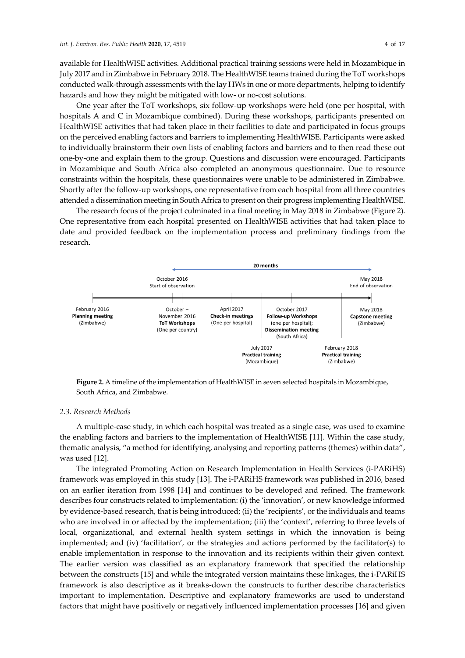available for HealthWISE activities. Additional practical training sessions were held in Mozambique in July 2017 and in Zimbabwe in February 2018. The HealthWISE teams trained during the ToT workshops conducted walk-through assessments with the lay HWs in one or more departments, helping to identify hazards and how they might be mitigated with low- or no-cost solutions.

One year after the ToT workshops, six follow-up workshops were held (one per hospital, with hospitals A and C in Mozambique combined). During these workshops, participants presented on HealthWISE activities that had taken place in their facilities to date and participated in focus groups on the perceived enabling factors and barriers to implementing HealthWISE. Participants were asked to individually brainstorm their own lists of enabling factors and barriers and to then read these out one-by-one and explain them to the group. Questions and discussion were encouraged. Participants in Mozambique and South Africa also completed an anonymous questionnaire. Due to resource constraints within the hospitals, these questionnaires were unable to be administered in Zimbabwe. Shortly after the follow-up workshops, one representative from each hospital from all three countries attended a dissemination meeting in South Africa to present on their progress implementing HealthWISE.

The research focus of the project culminated in a final meeting in May 2018 in Zimbabwe (Figure 2). One representative from each hospital presented on HealthWISE activities that had taken place to date and provided feedback on the implementation process and preliminary findings from the research.



**Figure 2.** A timeline of the implementation of HealthWISE in seven selected hospitals in Mozambique, South Africa, and Zimbabwe.

#### *2.3. Research Methods*

A multiple-case study, in which each hospital was treated as a single case, was used to examine the enabling factors and barriers to the implementation of HealthWISE [11]. Within the case study, thematic analysis, "a method for identifying, analysing and reporting patterns (themes) within data", was used [12].

The integrated Promoting Action on Research Implementation in Health Services (i-PARiHS) framework was employed in this study [13]. The i-PARiHS framework was published in 2016, based on an earlier iteration from 1998 [14] and continues to be developed and refined. The framework describes four constructs related to implementation: (i) the 'innovation', or new knowledge informed by evidence-based research, that is being introduced; (ii) the 'recipients', or the individuals and teams who are involved in or affected by the implementation; (iii) the 'context', referring to three levels of local, organizational, and external health system settings in which the innovation is being implemented; and (iv) 'facilitation'*,* or the strategies and actions performed by the facilitator(s) to enable implementation in response to the innovation and its recipients within their given context. The earlier version was classified as an explanatory framework that specified the relationship between the constructs [15] and while the integrated version maintains these linkages, the i-PARiHS framework is also descriptive as it breaks-down the constructs to further describe characteristics important to implementation. Descriptive and explanatory frameworks are used to understand factors that might have positively or negatively influenced implementation processes [16] and given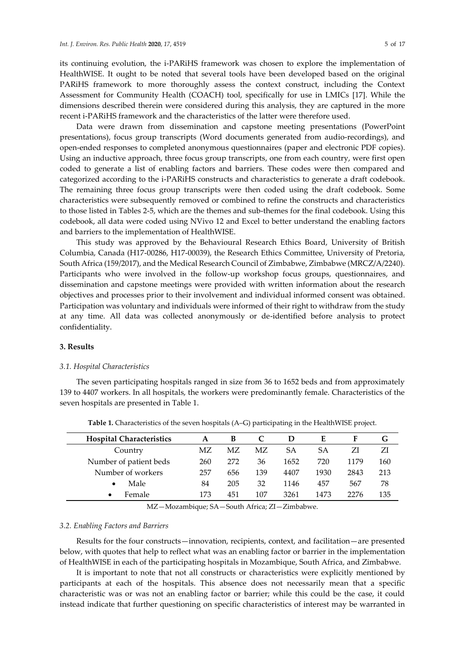its continuing evolution, the i-PARiHS framework was chosen to explore the implementation of HealthWISE. It ought to be noted that several tools have been developed based on the original PARiHS framework to more thoroughly assess the context construct, including the Context Assessment for Community Health (COACH) tool, specifically for use in LMICs [17]. While the dimensions described therein were considered during this analysis, they are captured in the more recent i-PARiHS framework and the characteristics of the latter were therefore used.

Data were drawn from dissemination and capstone meeting presentations (PowerPoint presentations), focus group transcripts (Word documents generated from audio-recordings), and open-ended responses to completed anonymous questionnaires (paper and electronic PDF copies). Using an inductive approach, three focus group transcripts, one from each country, were first open coded to generate a list of enabling factors and barriers. These codes were then compared and categorized according to the i-PARiHS constructs and characteristics to generate a draft codebook. The remaining three focus group transcripts were then coded using the draft codebook. Some characteristics were subsequently removed or combined to refine the constructs and characteristics to those listed in Tables 2-5, which are the themes and sub-themes for the final codebook. Using this codebook, all data were coded using NVivo 12 and Excel to better understand the enabling factors and barriers to the implementation of HealthWISE.

This study was approved by the Behavioural Research Ethics Board, University of British Columbia, Canada (H17-00286, H17-00039), the Research Ethics Committee, University of Pretoria, South Africa (159/2017), and the Medical Research Council of Zimbabwe, Zimbabwe (MRCZ/A/2240). Participants who were involved in the follow-up workshop focus groups, questionnaires, and dissemination and capstone meetings were provided with written information about the research objectives and processes prior to their involvement and individual informed consent was obtained. Participation was voluntary and individuals were informed of their right to withdraw from the study at any time. All data was collected anonymously or de-identified before analysis to protect confidentiality.

## **3. Results**

## *3.1. Hospital Characteristics*

The seven participating hospitals ranged in size from 36 to 1652 beds and from approximately 139 to 4407 workers. In all hospitals, the workers were predominantly female. Characteristics of the seven hospitals are presented in Table 1.

| <b>Hospital Characteristics</b> | A   | B   |     | Ð    | E    | F    | G   |
|---------------------------------|-----|-----|-----|------|------|------|-----|
| Country                         | МZ  | МZ  | MΖ  | SА   | SА   |      | ZI  |
| Number of patient beds          | 260 | 272 | 36  | 1652 | 720  | 1179 | 160 |
| Number of workers               | 257 | 656 | 139 | 4407 | 1930 | 2843 | 213 |
| Male                            | 84  | 205 | 32  | 1146 | 457  | 567  | 78  |
| Female                          | 173 | 451 | 107 | 3261 | 1473 | 2276 | 135 |
|                                 |     |     |     |      |      |      |     |

**Table 1.** Characteristics of the seven hospitals (A–G) participating in the HealthWISE project.

MZ—Mozambique; SA—South Africa; ZI—Zimbabwe.

#### *3.2. Enabling Factors and Barriers*

Results for the four constructs—innovation, recipients, context, and facilitation—are presented below, with quotes that help to reflect what was an enabling factor or barrier in the implementation of HealthWISE in each of the participating hospitals in Mozambique, South Africa, and Zimbabwe.

It is important to note that not all constructs or characteristics were explicitly mentioned by participants at each of the hospitals. This absence does not necessarily mean that a specific characteristic was or was not an enabling factor or barrier; while this could be the case, it could instead indicate that further questioning on specific characteristics of interest may be warranted in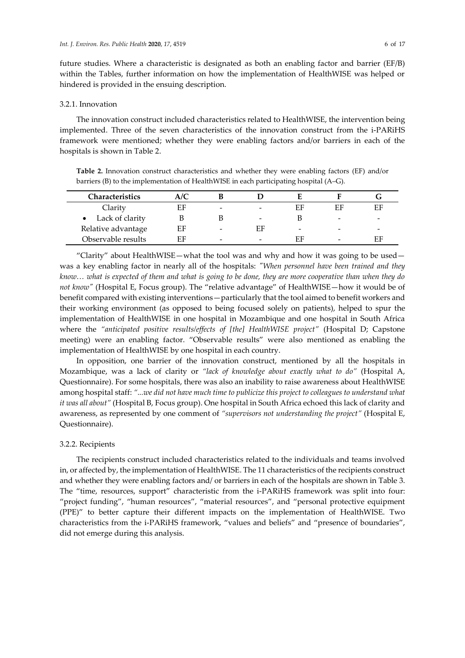future studies. Where a characteristic is designated as both an enabling factor and barrier (EF/B) within the Tables, further information on how the implementation of HealthWISE was helped or hindered is provided in the ensuing description.

## 3.2.1. Innovation

The innovation construct included characteristics related to HealthWISE, the intervention being implemented. Three of the seven characteristics of the innovation construct from the i-PARiHS framework were mentioned; whether they were enabling factors and/or barriers in each of the hospitals is shown in Table 2.

**Table 2.** Innovation construct characteristics and whether they were enabling factors (EF) and/or barriers (B) to the implementation of HealthWISE in each participating hospital (A–G).

| Characteristics    | A/C |                          |                          |                          |                          |    |
|--------------------|-----|--------------------------|--------------------------|--------------------------|--------------------------|----|
| Clarity            | EF  | $\overline{\phantom{0}}$ | $\overline{\phantom{0}}$ | EF                       | ЕF                       | EF |
| Lack of clarity    |     |                          | $\overline{\phantom{0}}$ |                          | -                        | -  |
| Relative advantage | EF  | $\overline{\phantom{0}}$ | EF                       | $\overline{\phantom{m}}$ | -                        | -  |
| Observable results | ЕF  | $\overline{\phantom{0}}$ | -                        | FЕ                       | $\overline{\phantom{0}}$ | EF |

"Clarity" about HealthWISE—what the tool was and why and how it was going to be used was a key enabling factor in nearly all of the hospitals: *"When personnel have been trained and they know… what is expected of them and what is going to be done, they are more cooperative than when they do not know"* (Hospital E, Focus group). The "relative advantage" of HealthWISE—how it would be of benefit compared with existing interventions—particularly that the tool aimed to benefit workers and their working environment (as opposed to being focused solely on patients), helped to spur the implementation of HealthWISE in one hospital in Mozambique and one hospital in South Africa where the *"anticipated positive results/effects of [the] HealthWISE project"* (Hospital D; Capstone meeting) were an enabling factor. "Observable results" were also mentioned as enabling the implementation of HealthWISE by one hospital in each country.

In opposition, one barrier of the innovation construct, mentioned by all the hospitals in Mozambique, was a lack of clarity or *"lack of knowledge about exactly what to do"* (Hospital A, Questionnaire). For some hospitals, there was also an inability to raise awareness about HealthWISE among hospital staff: *"...we did not have much time to publicize this project to colleagues to understand what it was all about"* (Hospital B, Focus group). One hospital in South Africa echoed this lack of clarity and awareness, as represented by one comment of *"supervisors not understanding the project"* (Hospital E, Questionnaire).

#### 3.2.2. Recipients

The recipients construct included characteristics related to the individuals and teams involved in, or affected by, the implementation of HealthWISE. The 11 characteristics of the recipients construct and whether they were enabling factors and/ or barriers in each of the hospitals are shown in Table 3. The "time, resources, support" characteristic from the i-PARiHS framework was split into four: "project funding", "human resources", "material resources", and "personal protective equipment (PPE)" to better capture their different impacts on the implementation of HealthWISE. Two characteristics from the i-PARiHS framework, "values and beliefs" and "presence of boundaries", did not emerge during this analysis.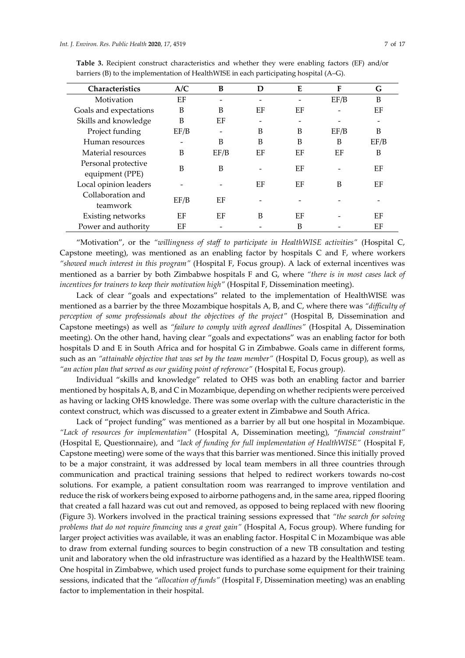|  | ΩŤ<br>۰, |  |
|--|----------|--|
|  |          |  |

| <b>Characteristics</b>                 | A/C  | B    | D  | E  | F    | G    |
|----------------------------------------|------|------|----|----|------|------|
| Motivation                             | EF   |      |    |    | EF/B | B    |
| Goals and expectations                 | B    | B    | EF | ΕF |      | EF   |
| Skills and knowledge                   | B    | EF   |    |    |      |      |
| Project funding                        | EF/B |      | B  | B  | EF/B | B    |
| Human resources                        |      | B    | B  | B  | B    | EF/B |
| Material resources                     | B    | EF/B | EF | ΕF | ΕF   | B    |
| Personal protective<br>equipment (PPE) | B    | B    |    | ΕF |      | EF   |
| Local opinion leaders                  |      |      | EF | ΕF | B    | ΕF   |
| Collaboration and<br>teamwork          | EF/B | EF   |    |    |      |      |
| Existing networks                      | EF   | EF   | B  | EF |      | EF   |
| Power and authority                    | EF   |      |    | B  |      | EF   |

**Table 3.** Recipient construct characteristics and whether they were enabling factors (EF) and/or barriers (B) to the implementation of HealthWISE in each participating hospital (A–G).

"Motivation", or the *"willingness of staff to participate in HealthWISE activities"* (Hospital C, Capstone meeting), was mentioned as an enabling factor by hospitals C and F, where workers *"showed much interest in this program"* (Hospital F, Focus group). A lack of external incentives was mentioned as a barrier by both Zimbabwe hospitals F and G, where *"there is in most cases lack of incentives for trainers to keep their motivation high"* (Hospital F, Dissemination meeting).

Lack of clear "goals and expectations" related to the implementation of HealthWISE was mentioned as a barrier by the three Mozambique hospitals A, B, and C, where there was *"difficulty of perception of some professionals about the objectives of the project"* (Hospital B, Dissemination and Capstone meetings) as well as *"failure to comply with agreed deadlines"* (Hospital A, Dissemination meeting). On the other hand, having clear "goals and expectations" was an enabling factor for both hospitals D and E in South Africa and for hospital G in Zimbabwe. Goals came in different forms, such as an *"attainable objective that was set by the team member"* (Hospital D, Focus group), as well as *"an action plan that served as our guiding point of reference"* (Hospital E, Focus group).

Individual "skills and knowledge" related to OHS was both an enabling factor and barrier mentioned by hospitals A, B, and C in Mozambique, depending on whether recipients were perceived as having or lacking OHS knowledge. There was some overlap with the culture characteristic in the context construct, which was discussed to a greater extent in Zimbabwe and South Africa.

Lack of "project funding" was mentioned as a barrier by all but one hospital in Mozambique. *"Lack of resources for implementation"* (Hospital A, Dissemination meeting), *"financial constraint"* (Hospital E, Questionnaire), and *"lack of funding for full implementation of HealthWISE"* (Hospital F, Capstone meeting) were some of the ways that this barrier was mentioned. Since this initially proved to be a major constraint, it was addressed by local team members in all three countries through communication and practical training sessions that helped to redirect workers towards no-cost solutions. For example, a patient consultation room was rearranged to improve ventilation and reduce the risk of workers being exposed to airborne pathogens and, in the same area, ripped flooring that created a fall hazard was cut out and removed, as opposed to being replaced with new flooring (Figure 3). Workers involved in the practical training sessions expressed that *"the search for solving problems that do not require financing was a great gain"* (Hospital A, Focus group). Where funding for larger project activities was available, it was an enabling factor. Hospital C in Mozambique was able to draw from external funding sources to begin construction of a new TB consultation and testing unit and laboratory when the old infrastructure was identified as a hazard by the HealthWISE team. One hospital in Zimbabwe, which used project funds to purchase some equipment for their training sessions, indicated that the *"allocation of funds"* (Hospital F, Dissemination meeting) was an enabling factor to implementation in their hospital.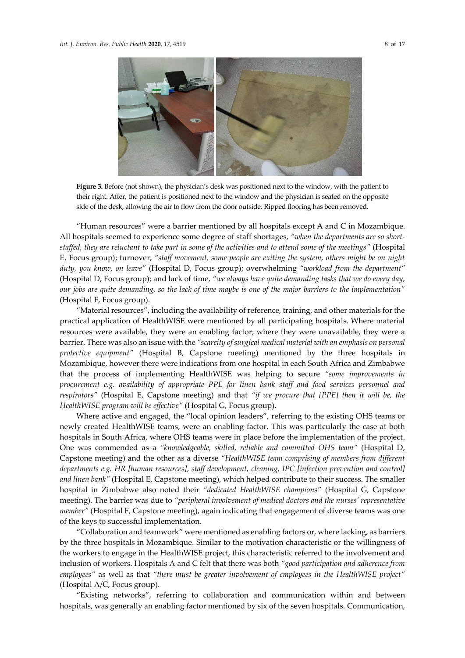

**Figure 3.** Before (not shown), the physician's desk was positioned next to the window, with the patient to their right. After, the patient is positioned next to the window and the physician is seated on the opposite side of the desk, allowing the air to flow from the door outside. Ripped flooring has been removed.

"Human resources" were a barrier mentioned by all hospitals except A and C in Mozambique. All hospitals seemed to experience some degree of staff shortages, *"when the departments are so shortstaffed, they are reluctant to take part in some of the activities and to attend some of the meetings"* (Hospital E, Focus group); turnover, *"staff movement, some people are exiting the system, others might be on night duty, you know, on leave"* (Hospital D, Focus group); overwhelming *"workload from the department"* (Hospital D, Focus group); and lack of time, *"we always have quite demanding tasks that we do every day, our jobs are quite demanding, so the lack of time maybe is one of the major barriers to the implementation"* (Hospital F, Focus group).

"Material resources", including the availability of reference, training, and other materials for the practical application of HealthWISE were mentioned by all participating hospitals. Where material resources were available, they were an enabling factor; where they were unavailable, they were a barrier. There was also an issue with the *"scarcity of surgical medical material with an emphasis on personal protective equipment"* (Hospital B, Capstone meeting) mentioned by the three hospitals in Mozambique, however there were indications from one hospital in each South Africa and Zimbabwe that the process of implementing HealthWISE was helping to secure *"some improvements in procurement e.g. availability of appropriate PPE for linen bank staff and food services personnel and respirators"* (Hospital E, Capstone meeting) and that *"if we procure that [PPE] then it will be, the HealthWISE program will be effective"* (Hospital G, Focus group).

Where active and engaged, the "local opinion leaders", referring to the existing OHS teams or newly created HealthWISE teams, were an enabling factor. This was particularly the case at both hospitals in South Africa, where OHS teams were in place before the implementation of the project. One was commended as a *"knowledgeable, skilled, reliable and committed OHS team"* (Hospital D, Capstone meeting) and the other as a diverse *"HealthWISE team comprising of members from different departments e.g. HR [human resources], staff development, cleaning, IPC [infection prevention and control] and linen bank"* (Hospital E, Capstone meeting), which helped contribute to their success. The smaller hospital in Zimbabwe also noted their *"dedicated HealthWISE champions"* (Hospital G, Capstone meeting). The barrier was due to *"peripheral involvement of medical doctors and the nurses' representative member"* (Hospital F, Capstone meeting), again indicating that engagement of diverse teams was one of the keys to successful implementation.

"Collaboration and teamwork" were mentioned as enabling factors or, where lacking, as barriers by the three hospitals in Mozambique. Similar to the motivation characteristic or the willingness of the workers to engage in the HealthWISE project, this characteristic referred to the involvement and inclusion of workers. Hospitals A and C felt that there was both *"good participation and adherence from employees"* as well as that *"there must be greater involvement of employees in the HealthWISE project"* (Hospital A/C, Focus group).

"Existing networks", referring to collaboration and communication within and between hospitals, was generally an enabling factor mentioned by six of the seven hospitals. Communication,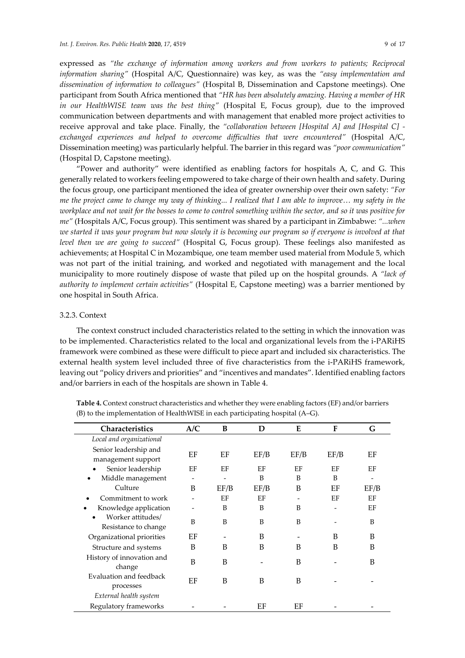expressed as *"the exchange of information among workers and from workers to patients; Reciprocal information sharing"* (Hospital A/C, Questionnaire) was key, as was the *"easy implementation and dissemination of information to colleagues"* (Hospital B, Dissemination and Capstone meetings). One participant from South Africa mentioned that *"HR has been absolutely amazing. Having a member of HR in our HealthWISE team was the best thing"* (Hospital E, Focus group), due to the improved communication between departments and with management that enabled more project activities to receive approval and take place. Finally, the *"collaboration between [Hospital A] and [Hospital C] exchanged experiences and helped to overcome difficulties that were encountered"* (Hospital A/C, Dissemination meeting) was particularly helpful. The barrier in this regard was *"poor communication"* (Hospital D, Capstone meeting).

"Power and authority" were identified as enabling factors for hospitals A, C, and G. This generally related to workers feeling empowered to take charge of their own health and safety. During the focus group, one participant mentioned the idea of greater ownership over their own safety: *"For me the project came to change my way of thinking... I realized that I am able to improve… my safety in the workplace and not wait for the bosses to come to control something within the sector, and so it was positive for me"* (Hospitals A/C, Focus group). This sentiment was shared by a participant in Zimbabwe: *"...when we started it was your program but now slowly it is becoming our program so if everyone is involved at that level then we are going to succeed"* (Hospital G, Focus group). These feelings also manifested as achievements; at Hospital C in Mozambique, one team member used material from Module 5, which was not part of the initial training, and worked and negotiated with management and the local municipality to more routinely dispose of waste that piled up on the hospital grounds. A *"lack of authority to implement certain activities"* (Hospital E, Capstone meeting) was a barrier mentioned by one hospital in South Africa.

### 3.2.3. Context

The context construct included characteristics related to the setting in which the innovation was to be implemented. Characteristics related to the local and organizational levels from the i-PARiHS framework were combined as these were difficult to piece apart and included six characteristics. The external health system level included three of five characteristics from the i-PARiHS framework, leaving out "policy drivers and priorities" and "incentives and mandates". Identified enabling factors and/or barriers in each of the hospitals are shown in Table 4.

| <b>Characteristics</b>                      | A/C | B    | D    | E    | F    | G    |
|---------------------------------------------|-----|------|------|------|------|------|
| Local and organizational                    |     |      |      |      |      |      |
| Senior leadership and<br>management support | EF  | EF   | EF/B | EF/B | EF/B | EF   |
| Senior leadership<br>$\bullet$              | EF  | EF   | EF   | EF   | EF   | EF   |
| Middle management                           |     |      | B    | B    | B    |      |
| Culture                                     | B   | EF/B | EF/B | B    | EF   | EF/B |
| Commitment to work                          |     | EF   | EF   |      | EF   | EF   |
| Knowledge application                       |     | B    | B    | B    |      | EF   |
| Worker attitudes/<br>Resistance to change   | B   | B    | B    | B    |      | B    |
| Organizational priorities                   | EF  |      | B    |      | B    | B    |
| Structure and systems                       | B   | B    | B    | B    | B    | B    |
| History of innovation and<br>change         | B   | B    |      | B    |      | B    |
| Evaluation and feedback<br>processes        | EF  | B    | B    | B    |      |      |
| External health system                      |     |      |      |      |      |      |
| Regulatory frameworks                       |     |      | EF   | EF   |      |      |

**Table 4.** Context construct characteristics and whether they were enabling factors (EF) and/or barriers (B) to the implementation of HealthWISE in each participating hospital (A–G).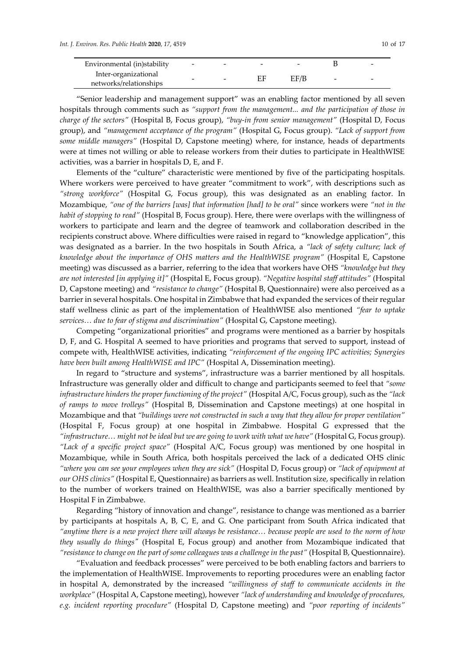| Environmental (in) stability | $\overline{\phantom{0}}$ | - | $\overline{\phantom{a}}$ | $\overline{\phantom{0}}$ |                          | - |
|------------------------------|--------------------------|---|--------------------------|--------------------------|--------------------------|---|
| Inter-organizational         | -                        | - |                          | EF/B                     | $\overline{\phantom{0}}$ | - |
| networks/relationships       |                          |   |                          |                          |                          |   |

"Senior leadership and management support" was an enabling factor mentioned by all seven hospitals through comments such as "support from the management... and the participation of those in *charge of the sectors"* (Hospital B, Focus group), *"buy-in from senior management"* (Hospital D, Focus group), and *"management acceptance of the program"* (Hospital G, Focus group). *"Lack of support from some middle managers"* (Hospital D, Capstone meeting) where, for instance, heads of departments were at times not willing or able to release workers from their duties to participate in HealthWISE activities, was a barrier in hospitals D, E, and F.

Elements of the "culture" characteristic were mentioned by five of the participating hospitals. Where workers were perceived to have greater "commitment to work", with descriptions such as *"strong workforce"* (Hospital G, Focus group), this was designated as an enabling factor. In Mozambique, *"one of the barriers [was] that information [had] to be oral"* since workers were *"not in the habit of stopping to read"* (Hospital B, Focus group). Here, there were overlaps with the willingness of workers to participate and learn and the degree of teamwork and collaboration described in the recipients construct above. Where difficulties were raised in regard to "knowledge application", this was designated as a barrier. In the two hospitals in South Africa, a *"lack of safety culture; lack of knowledge about the importance of OHS matters and the HealthWISE program"* (Hospital E, Capstone meeting) was discussed as a barrier, referring to the idea that workers have OHS *"knowledge but they are not interested [in applying it]"* (Hospital E, Focus group). *"Negative hospital staff attitudes"* (Hospital D, Capstone meeting) and *"resistance to change"* (Hospital B, Questionnaire) were also perceived as a barrier in several hospitals. One hospital in Zimbabwe that had expanded the services of their regular staff wellness clinic as part of the implementation of HealthWISE also mentioned *"fear to uptake services… due to fear of stigma and discrimination"* (Hospital G, Capstone meeting).

Competing "organizational priorities" and programs were mentioned as a barrier by hospitals D, F, and G. Hospital A seemed to have priorities and programs that served to support, instead of compete with, HealthWISE activities, indicating *"reinforcement of the ongoing IPC activities; Synergies have been built among HealthWISE and IPC"* (Hospital A, Dissemination meeting).

In regard to "structure and systems", infrastructure was a barrier mentioned by all hospitals. Infrastructure was generally older and difficult to change and participants seemed to feel that *"some infrastructure hinders the proper functioning of the project"* (Hospital A/C, Focus group), such as the *"lack of ramps to move trolleys"* (Hospital B, Dissemination and Capstone meetings) at one hospital in Mozambique and that *"buildings were not constructed in such a way that they allow for proper ventilation"* (Hospital F, Focus group) at one hospital in Zimbabwe. Hospital G expressed that the *"infrastructure… might not be ideal but we are going to work with what we have"* (Hospital G, Focus group). *"Lack of a specific project space"* (Hospital A/C, Focus group) was mentioned by one hospital in Mozambique, while in South Africa, both hospitals perceived the lack of a dedicated OHS clinic *"where you can see your employees when they are sick"* (Hospital D, Focus group) or *"lack of equipment at our OHS clinics"* (Hospital E, Questionnaire) as barriers as well. Institution size, specifically in relation to the number of workers trained on HealthWISE, was also a barrier specifically mentioned by Hospital F in Zimbabwe.

Regarding "history of innovation and change", resistance to change was mentioned as a barrier by participants at hospitals A, B, C, E, and G. One participant from South Africa indicated that *"anytime there is a new project there will always be resistance… because people are used to the norm of how they usually do things"* (Hospital E, Focus group) and another from Mozambique indicated that *"resistance to change on the part of some colleagues was a challenge in the past"* (Hospital B, Questionnaire).

"Evaluation and feedback processes" were perceived to be both enabling factors and barriers to the implementation of HealthWISE. Improvements to reporting procedures were an enabling factor in hospital A, demonstrated by the increased *"willingness of staff to communicate accidents in the workplace"* (Hospital A, Capstone meeting), however *"lack of understanding and knowledge of procedures, e.g. incident reporting procedure"* (Hospital D, Capstone meeting) and *"poor reporting of incidents"*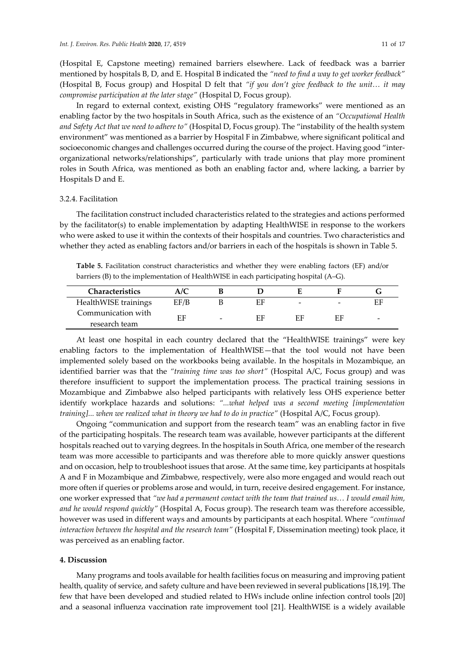(Hospital E, Capstone meeting) remained barriers elsewhere. Lack of feedback was a barrier mentioned by hospitals B, D, and E. Hospital B indicated the *"need to find a way to get worker feedback"* (Hospital B, Focus group) and Hospital D felt that *"if you don't give feedback to the unit… it may compromise participation at the later stage"* (Hospital D, Focus group).

In regard to external context, existing OHS "regulatory frameworks" were mentioned as an enabling factor by the two hospitals in South Africa, such as the existence of an *"Occupational Health and Safety Act that we need to adhere to"* (Hospital D, Focus group). The "instability of the health system environment" was mentioned as a barrier by Hospital F in Zimbabwe, where significant political and socioeconomic changes and challenges occurred during the course of the project. Having good "interorganizational networks/relationships", particularly with trade unions that play more prominent roles in South Africa, was mentioned as both an enabling factor and, where lacking, a barrier by Hospitals D and E.

### 3.2.4. Facilitation

The facilitation construct included characteristics related to the strategies and actions performed by the facilitator(s) to enable implementation by adapting HealthWISE in response to the workers who were asked to use it within the contexts of their hospitals and countries. Two characteristics and whether they acted as enabling factors and/or barriers in each of the hospitals is shown in Table 5.

**Table 5.** Facilitation construct characteristics and whether they were enabling factors (EF) and/or barriers (B) to the implementation of HealthWISE in each participating hospital (A–G).

| Characteristics                     |      |                          |    |                          |                          |                          |
|-------------------------------------|------|--------------------------|----|--------------------------|--------------------------|--------------------------|
| HealthWISE trainings                | EF/B |                          | ΕF | $\overline{\phantom{0}}$ | $\overline{\phantom{0}}$ | ЕF                       |
| Communication with<br>research team | ΕF   | $\overline{\phantom{0}}$ | ЕF | FЕ                       | FF                       | $\overline{\phantom{0}}$ |

At least one hospital in each country declared that the "HealthWISE trainings" were key enabling factors to the implementation of HealthWISE—that the tool would not have been implemented solely based on the workbooks being available. In the hospitals in Mozambique, an identified barrier was that the *"training time was too short"* (Hospital A/C, Focus group) and was therefore insufficient to support the implementation process. The practical training sessions in Mozambique and Zimbabwe also helped participants with relatively less OHS experience better identify workplace hazards and solutions: *"...what helped was a second meeting [implementation training]... when we realized what in theory we had to do in practice"* (Hospital A/C, Focus group).

Ongoing "communication and support from the research team" was an enabling factor in five of the participating hospitals. The research team was available, however participants at the different hospitals reached out to varying degrees. In the hospitals in South Africa, one member of the research team was more accessible to participants and was therefore able to more quickly answer questions and on occasion, help to troubleshoot issues that arose. At the same time, key participants at hospitals A and F in Mozambique and Zimbabwe, respectively, were also more engaged and would reach out more often if queries or problems arose and would, in turn, receive desired engagement. For instance, one worker expressed that *"we had a permanent contact with the team that trained us… I would email him, and he would respond quickly"* (Hospital A, Focus group). The research team was therefore accessible, however was used in different ways and amounts by participants at each hospital. Where *"continued interaction between the hospital and the research team"* (Hospital F, Dissemination meeting) took place, it was perceived as an enabling factor.

## **4. Discussion**

Many programs and tools available for health facilities focus on measuring and improving patient health, quality of service, and safety culture and have been reviewed in several publications [18,19]. The few that have been developed and studied related to HWs include online infection control tools [20] and a seasonal influenza vaccination rate improvement tool [21]. HealthWISE is a widely available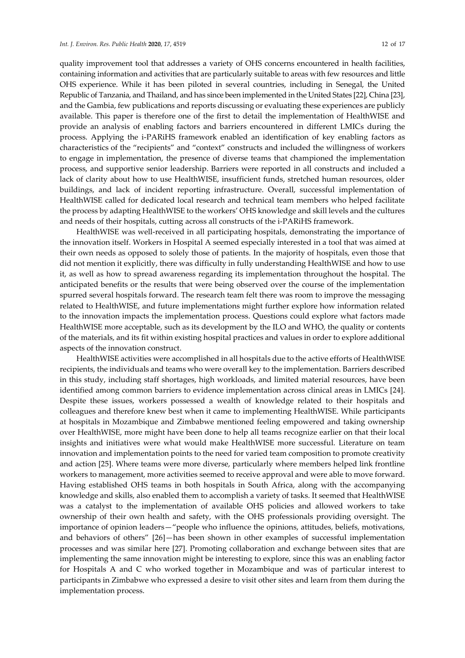quality improvement tool that addresses a variety of OHS concerns encountered in health facilities, containing information and activities that are particularly suitable to areas with few resources and little OHS experience. While it has been piloted in several countries, including in Senegal, the United Republic of Tanzania, and Thailand, and has since been implemented in the United States [22], China [23], and the Gambia, few publications and reports discussing or evaluating these experiences are publicly available. This paper is therefore one of the first to detail the implementation of HealthWISE and provide an analysis of enabling factors and barriers encountered in different LMICs during the process. Applying the i-PARiHS framework enabled an identification of key enabling factors as characteristics of the "recipients" and "context" constructs and included the willingness of workers to engage in implementation, the presence of diverse teams that championed the implementation process, and supportive senior leadership. Barriers were reported in all constructs and included a lack of clarity about how to use HealthWISE, insufficient funds, stretched human resources, older buildings, and lack of incident reporting infrastructure. Overall, successful implementation of HealthWISE called for dedicated local research and technical team members who helped facilitate the process by adapting HealthWISE to the workers' OHS knowledge and skill levels and the cultures and needs of their hospitals, cutting across all constructs of the i-PARiHS framework.

HealthWISE was well-received in all participating hospitals, demonstrating the importance of the innovation itself. Workers in Hospital A seemed especially interested in a tool that was aimed at their own needs as opposed to solely those of patients. In the majority of hospitals, even those that did not mention it explicitly, there was difficulty in fully understanding HealthWISE and how to use it, as well as how to spread awareness regarding its implementation throughout the hospital. The anticipated benefits or the results that were being observed over the course of the implementation spurred several hospitals forward. The research team felt there was room to improve the messaging related to HealthWISE, and future implementations might further explore how information related to the innovation impacts the implementation process. Questions could explore what factors made HealthWISE more acceptable, such as its development by the ILO and WHO, the quality or contents of the materials, and its fit within existing hospital practices and values in order to explore additional aspects of the innovation construct.

HealthWISE activities were accomplished in all hospitals due to the active efforts of HealthWISE recipients, the individuals and teams who were overall key to the implementation. Barriers described in this study, including staff shortages, high workloads, and limited material resources, have been identified among common barriers to evidence implementation across clinical areas in LMICs [24]. Despite these issues, workers possessed a wealth of knowledge related to their hospitals and colleagues and therefore knew best when it came to implementing HealthWISE. While participants at hospitals in Mozambique and Zimbabwe mentioned feeling empowered and taking ownership over HealthWISE, more might have been done to help all teams recognize earlier on that their local insights and initiatives were what would make HealthWISE more successful. Literature on team innovation and implementation points to the need for varied team composition to promote creativity and action [25]. Where teams were more diverse, particularly where members helped link frontline workers to management, more activities seemed to receive approval and were able to move forward. Having established OHS teams in both hospitals in South Africa, along with the accompanying knowledge and skills, also enabled them to accomplish a variety of tasks. It seemed that HealthWISE was a catalyst to the implementation of available OHS policies and allowed workers to take ownership of their own health and safety, with the OHS professionals providing oversight. The importance of opinion leaders—"people who influence the opinions, attitudes, beliefs, motivations, and behaviors of others" [26]—has been shown in other examples of successful implementation processes and was similar here [27]. Promoting collaboration and exchange between sites that are implementing the same innovation might be interesting to explore, since this was an enabling factor for Hospitals A and C who worked together in Mozambique and was of particular interest to participants in Zimbabwe who expressed a desire to visit other sites and learn from them during the implementation process.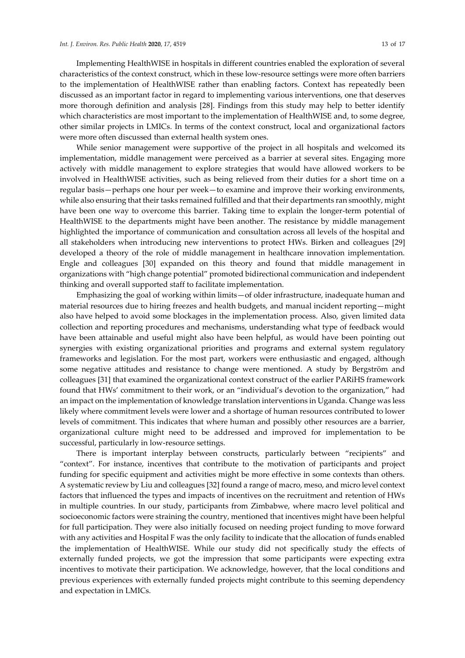Implementing HealthWISE in hospitals in different countries enabled the exploration of several characteristics of the context construct, which in these low-resource settings were more often barriers to the implementation of HealthWISE rather than enabling factors. Context has repeatedly been discussed as an important factor in regard to implementing various interventions, one that deserves more thorough definition and analysis [28]. Findings from this study may help to better identify which characteristics are most important to the implementation of HealthWISE and, to some degree, other similar projects in LMICs. In terms of the context construct, local and organizational factors were more often discussed than external health system ones.

While senior management were supportive of the project in all hospitals and welcomed its implementation, middle management were perceived as a barrier at several sites. Engaging more actively with middle management to explore strategies that would have allowed workers to be involved in HealthWISE activities, such as being relieved from their duties for a short time on a regular basis—perhaps one hour per week—to examine and improve their working environments, while also ensuring that their tasks remained fulfilled and that their departments ran smoothly, might have been one way to overcome this barrier. Taking time to explain the longer-term potential of HealthWISE to the departments might have been another. The resistance by middle management highlighted the importance of communication and consultation across all levels of the hospital and all stakeholders when introducing new interventions to protect HWs. Birken and colleagues [29] developed a theory of the role of middle management in healthcare innovation implementation. Engle and colleagues [30] expanded on this theory and found that middle management in organizations with "high change potential" promoted bidirectional communication and independent thinking and overall supported staff to facilitate implementation.

Emphasizing the goal of working within limits—of older infrastructure, inadequate human and material resources due to hiring freezes and health budgets, and manual incident reporting—might also have helped to avoid some blockages in the implementation process. Also, given limited data collection and reporting procedures and mechanisms, understanding what type of feedback would have been attainable and useful might also have been helpful, as would have been pointing out synergies with existing organizational priorities and programs and external system regulatory frameworks and legislation. For the most part, workers were enthusiastic and engaged, although some negative attitudes and resistance to change were mentioned. A study by Bergström and colleagues [31] that examined the organizational context construct of the earlier PARiHS framework found that HWs' commitment to their work, or an "individual's devotion to the organization," had an impact on the implementation of knowledge translation interventions in Uganda. Change was less likely where commitment levels were lower and a shortage of human resources contributed to lower levels of commitment. This indicates that where human and possibly other resources are a barrier, organizational culture might need to be addressed and improved for implementation to be successful, particularly in low-resource settings.

There is important interplay between constructs, particularly between "recipients" and "context". For instance, incentives that contribute to the motivation of participants and project funding for specific equipment and activities might be more effective in some contexts than others. A systematic review by Liu and colleagues [32] found a range of macro, meso, and micro level context factors that influenced the types and impacts of incentives on the recruitment and retention of HWs in multiple countries. In our study, participants from Zimbabwe, where macro level political and socioeconomic factors were straining the country, mentioned that incentives might have been helpful for full participation. They were also initially focused on needing project funding to move forward with any activities and Hospital F was the only facility to indicate that the allocation of funds enabled the implementation of HealthWISE. While our study did not specifically study the effects of externally funded projects, we got the impression that some participants were expecting extra incentives to motivate their participation. We acknowledge, however, that the local conditions and previous experiences with externally funded projects might contribute to this seeming dependency and expectation in LMICs.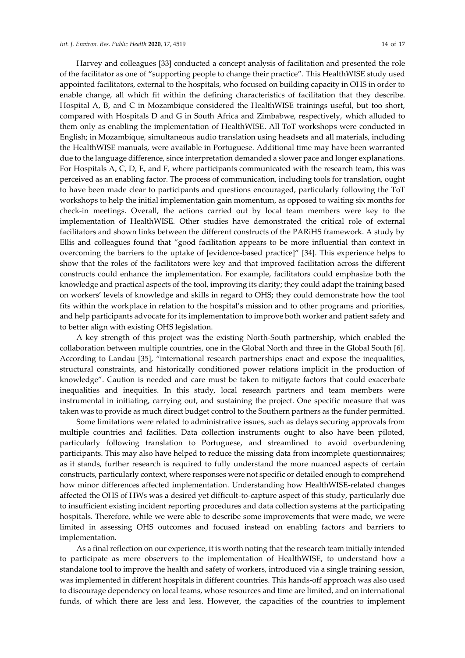Harvey and colleagues [33] conducted a concept analysis of facilitation and presented the role of the facilitator as one of "supporting people to change their practice". This HealthWISE study used appointed facilitators, external to the hospitals, who focused on building capacity in OHS in order to enable change, all which fit within the defining characteristics of facilitation that they describe. Hospital A, B, and C in Mozambique considered the HealthWISE trainings useful, but too short, compared with Hospitals D and G in South Africa and Zimbabwe, respectively, which alluded to them only as enabling the implementation of HealthWISE. All ToT workshops were conducted in English; in Mozambique, simultaneous audio translation using headsets and all materials, including the HealthWISE manuals, were available in Portuguese. Additional time may have been warranted due to the language difference, since interpretation demanded a slower pace and longer explanations. For Hospitals A, C, D, E, and F, where participants communicated with the research team, this was perceived as an enabling factor. The process of communication, including tools for translation, ought to have been made clear to participants and questions encouraged, particularly following the ToT workshops to help the initial implementation gain momentum, as opposed to waiting six months for check-in meetings. Overall, the actions carried out by local team members were key to the implementation of HealthWISE. Other studies have demonstrated the critical role of external facilitators and shown links between the different constructs of the PARiHS framework. A study by Ellis and colleagues found that "good facilitation appears to be more influential than context in overcoming the barriers to the uptake of [evidence-based practice]" [34]. This experience helps to show that the roles of the facilitators were key and that improved facilitation across the different constructs could enhance the implementation. For example, facilitators could emphasize both the knowledge and practical aspects of the tool, improving its clarity; they could adapt the training based on workers' levels of knowledge and skills in regard to OHS; they could demonstrate how the tool fits within the workplace in relation to the hospital's mission and to other programs and priorities, and help participants advocate for its implementation to improve both worker and patient safety and to better align with existing OHS legislation.

A key strength of this project was the existing North-South partnership, which enabled the collaboration between multiple countries, one in the Global North and three in the Global South [6]. According to Landau [35], "international research partnerships enact and expose the inequalities, structural constraints, and historically conditioned power relations implicit in the production of knowledge". Caution is needed and care must be taken to mitigate factors that could exacerbate inequalities and inequities. In this study, local research partners and team members were instrumental in initiating, carrying out, and sustaining the project. One specific measure that was taken was to provide as much direct budget control to the Southern partners as the funder permitted.

Some limitations were related to administrative issues, such as delays securing approvals from multiple countries and facilities. Data collection instruments ought to also have been piloted, particularly following translation to Portuguese, and streamlined to avoid overburdening participants. This may also have helped to reduce the missing data from incomplete questionnaires; as it stands, further research is required to fully understand the more nuanced aspects of certain constructs, particularly context, where responses were not specific or detailed enough to comprehend how minor differences affected implementation. Understanding how HealthWISE-related changes affected the OHS of HWs was a desired yet difficult-to-capture aspect of this study, particularly due to insufficient existing incident reporting procedures and data collection systems at the participating hospitals. Therefore, while we were able to describe some improvements that were made, we were limited in assessing OHS outcomes and focused instead on enabling factors and barriers to implementation.

As a final reflection on our experience, it is worth noting that the research team initially intended to participate as mere observers to the implementation of HealthWISE, to understand how a standalone tool to improve the health and safety of workers, introduced via a single training session, was implemented in different hospitals in different countries. This hands-off approach was also used to discourage dependency on local teams, whose resources and time are limited, and on international funds, of which there are less and less. However, the capacities of the countries to implement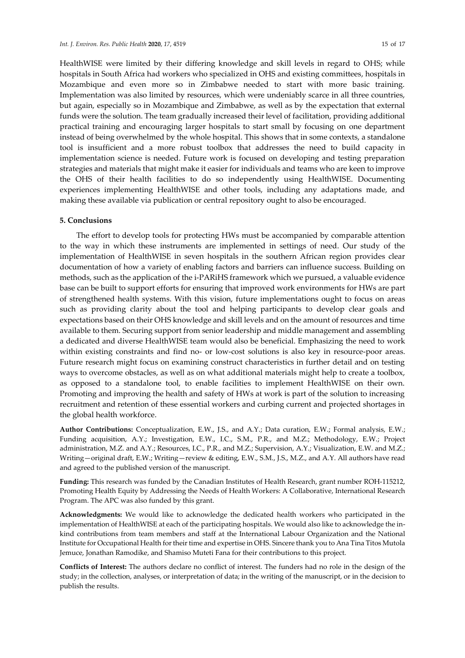HealthWISE were limited by their differing knowledge and skill levels in regard to OHS; while hospitals in South Africa had workers who specialized in OHS and existing committees, hospitals in Mozambique and even more so in Zimbabwe needed to start with more basic training. Implementation was also limited by resources, which were undeniably scarce in all three countries, but again, especially so in Mozambique and Zimbabwe, as well as by the expectation that external funds were the solution. The team gradually increased their level of facilitation, providing additional practical training and encouraging larger hospitals to start small by focusing on one department instead of being overwhelmed by the whole hospital. This shows that in some contexts, a standalone tool is insufficient and a more robust toolbox that addresses the need to build capacity in implementation science is needed. Future work is focused on developing and testing preparation strategies and materials that might make it easier for individuals and teams who are keen to improve the OHS of their health facilities to do so independently using HealthWISE. Documenting experiences implementing HealthWISE and other tools, including any adaptations made, and making these available via publication or central repository ought to also be encouraged.

## **5. Conclusions**

The effort to develop tools for protecting HWs must be accompanied by comparable attention to the way in which these instruments are implemented in settings of need. Our study of the implementation of HealthWISE in seven hospitals in the southern African region provides clear documentation of how a variety of enabling factors and barriers can influence success. Building on methods, such as the application of the i-PARiHS framework which we pursued, a valuable evidence base can be built to support efforts for ensuring that improved work environments for HWs are part of strengthened health systems. With this vision, future implementations ought to focus on areas such as providing clarity about the tool and helping participants to develop clear goals and expectations based on their OHS knowledge and skill levels and on the amount of resources and time available to them. Securing support from senior leadership and middle management and assembling a dedicated and diverse HealthWISE team would also be beneficial. Emphasizing the need to work within existing constraints and find no- or low-cost solutions is also key in resource-poor areas. Future research might focus on examining construct characteristics in further detail and on testing ways to overcome obstacles, as well as on what additional materials might help to create a toolbox, as opposed to a standalone tool, to enable facilities to implement HealthWISE on their own. Promoting and improving the health and safety of HWs at work is part of the solution to increasing recruitment and retention of these essential workers and curbing current and projected shortages in the global health workforce.

**Author Contributions:** Conceptualization, E.W., J.S., and A.Y.; Data curation, E.W.; Formal analysis, E.W.; Funding acquisition, A.Y.; Investigation, E.W., I.C., S.M., P.R., and M.Z.; Methodology, E.W.; Project administration, M.Z. and A.Y.; Resources, I.C., P.R., and M.Z.; Supervision, A.Y.; Visualization, E.W. and M.Z.; Writing—original draft, E.W.; Writing—review & editing, E.W., S.M., J.S., M.Z., and A.Y. All authors have read and agreed to the published version of the manuscript.

**Funding:** This research was funded by the Canadian Institutes of Health Research, grant number ROH-115212, Promoting Health Equity by Addressing the Needs of Health Workers: A Collaborative, International Research Program. The APC was also funded by this grant.

**Acknowledgments:** We would like to acknowledge the dedicated health workers who participated in the implementation of HealthWISE at each of the participating hospitals. We would also like to acknowledge the inkind contributions from team members and staff at the International Labour Organization and the National Institute for Occupational Health for their time and expertise in OHS. Sincere thank you to Ana Tina Titos Mutola Jemuce, Jonathan Ramodike, and Shamiso Muteti Fana for their contributions to this project.

**Conflicts of Interest:** The authors declare no conflict of interest. The funders had no role in the design of the study; in the collection, analyses, or interpretation of data; in the writing of the manuscript, or in the decision to publish the results.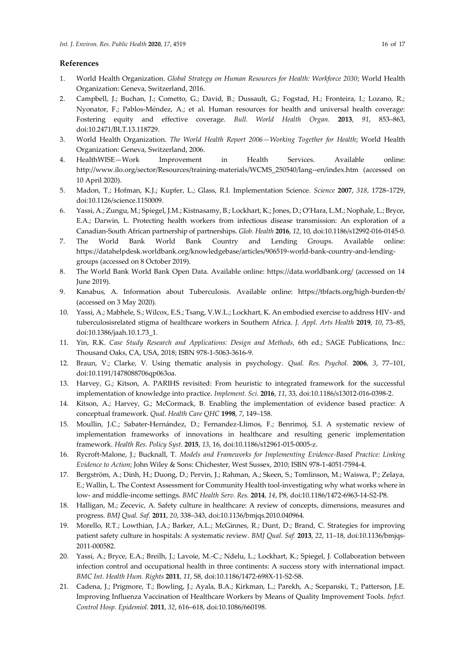#### **References**

- 1. World Health Organization. *Global Strategy on Human Resources for Health: Workforce 2030*; World Health Organization: Geneva, Switzerland, 2016.
- 2. Campbell, J.; Buchan, J.; Cometto, G.; David, B.; Dussault, G.; Fogstad, H.; Fronteira, I.; Lozano, R.; Nyonator, F.; Pablos-Méndez, A.; et al. Human resources for health and universal health coverage: Fostering equity and effective coverage. *Bull. World Health Organ.* **2013**, *91*, 853–863, doi:10.2471/BLT.13.118729.
- 3. World Health Organization. *The World Health Report 2006—Working Together for Health*; World Health Organization: Geneva, Switzerland, 2006.
- 4. HealthWISE—Work Improvement in Health Services. Available online: http://www.ilo.org/sector/Resources/training-materials/WCMS\_250540/lang--en/index.htm (accessed on 10 April 2020).
- 5. Madon, T.; Hofman, K.J.; Kupfer, L.; Glass, R.I. Implementation Science. *Science* **2007**, *318*, 1728–1729, doi:10.1126/science.1150009.
- 6. Yassi, A.; Zungu, M.; Spiegel, J.M.; Kistnasamy, B.; Lockhart, K.; Jones, D.; O'Hara, L.M.; Nophale, L.; Bryce, E.A.; Darwin, L. Protecting health workers from infectious disease transmission: An exploration of a Canadian-South African partnership of partnerships. *Glob. Health* **2016**, *12*, 10, doi:10.1186/s12992-016-0145-0.
- 7. The World Bank World Bank Country and Lending Groups. Available online: https://datahelpdesk.worldbank.org/knowledgebase/articles/906519-world-bank-country-and-lendinggroups (accessed on 8 October 2019).
- 8. The World Bank World Bank Open Data. Available online: https://data.worldbank.org/ (accessed on 14 June 2019).
- 9. Kanabus, A. Information about Tuberculosis. Available online: https://tbfacts.org/high-burden-tb/ (accessed on 3 May 2020).
- 10. Yassi, A.; Mabhele, S.; Wilcox, E.S.; Tsang, V.W.L.; Lockhart, K. An embodied exercise to address HIV- and tuberculosisrelated stigma of healthcare workers in Southern Africa. *J. Appl. Arts Health* **2019**, *10*, 73–85, doi:10.1386/jaah.10.1.73\_1.
- 11. Yin, R.K. *Case Study Research and Applications: Design and Methods*, 6th ed.; SAGE Publications, Inc.: Thousand Oaks, CA, USA, 2018; ISBN 978-1-5063-3616-9.
- 12. Braun, V.; Clarke, V. Using thematic analysis in psychology. *Qual. Res. Psychol.* **2006**, *3*, 77–101, doi:10.1191/1478088706qp063oa.
- 13. Harvey, G.; Kitson, A. PARIHS revisited: From heuristic to integrated framework for the successful implementation of knowledge into practice. *Implement. Sci.* **2016**, *11*, 33, doi:10.1186/s13012-016-0398-2.
- 14. Kitson, A.; Harvey, G.; McCormack, B. Enabling the implementation of evidence based practice: A conceptual framework. *Qual. Health Care QHC* **1998**, *7*, 149–158.
- 15. Moullin, J.C.; Sabater-Hernández, D.; Fernandez-Llimos, F.; Benrimoj, S.I. A systematic review of implementation frameworks of innovations in healthcare and resulting generic implementation framework. *Health Res. Policy Syst.* **2015**, *13*, 16, doi:10.1186/s12961-015-0005-z.
- 16. Rycroft-Malone, J.; Bucknall, T. *Models and Frameworks for Implementing Evidence-Based Practice: Linking Evidence to Action*; John Wiley & Sons: Chichester, West Sussex, 2010; ISBN 978-1-4051-7594-4.
- 17. Bergström, A.; Dinh, H.; Duong, D.; Pervin, J.; Rahman, A.; Skeen, S.; Tomlinson, M.; Waiswa, P.; Zelaya, E.; Wallin, L. The Context Assessment for Community Health tool-investigating why what works where in low- and middle-income settings. *BMC Health Serv. Res.* **2014**, *14*, P8, doi:10.1186/1472-6963-14-S2-P8.
- 18. Halligan, M.; Zecevic, A. Safety culture in healthcare: A review of concepts, dimensions, measures and progress. *BMJ Qual. Saf.* **2011**, *20*, 338–343, doi:10.1136/bmjqs.2010.040964.
- 19. Morello, R.T.; Lowthian, J.A.; Barker, A.L.; McGinnes, R.; Dunt, D.; Brand, C. Strategies for improving patient safety culture in hospitals: A systematic review. *BMJ Qual. Saf.* **2013**, *22*, 11–18, doi:10.1136/bmjqs-2011-000582.
- 20. Yassi, A.; Bryce, E.A.; Breilh, J.; Lavoie, M.-C.; Ndelu, L.; Lockhart, K.; Spiegel, J. Collaboration between infection control and occupational health in three continents: A success story with international impact. *BMC Int. Health Hum. Rights* **2011**, *11*, S8, doi:10.1186/1472-698X-11-S2-S8.
- 21. Cadena, J.; Prigmore, T.; Bowling, J.; Ayala, B.A.; Kirkman, L.; Parekh, A.; Scepanski, T.; Patterson, J.E. Improving Influenza Vaccination of Healthcare Workers by Means of Quality Improvement Tools. *Infect. Control Hosp. Epidemiol.* **2011**, *32*, 616–618, doi:10.1086/660198.